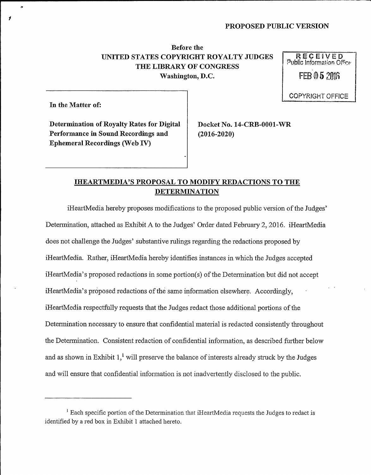# Before the UNITED STATES COPYRIGHT ROYALTY JUDGES  $\begin{array}{c} \mathsf{RECEIVED} \\ \text{Public Information Office} \end{array}$ THE LIBRARY OF CONGRESS<br>Washington, D.C. FEB 0 5 ?016 Washington, D.C.

COPYRiGHT OFFlCE

In the Matter of:

Determination of Royalty Rates for Digital | Docket No. 14-CRB-0001-WR Performance in Sound Recordings and (2016-2020) Ephemeral Recordings (Web IV)

## IHEARTMEDIA'S PROPOSAL TO MODIFY REDACTIONS TO THE DETERMINATION

iHeartMedia hereby proposes modifications to the proposed public version of the Judges' attached as Exhibit A to the Judges' Order dated February 2, 2016. iHeartMedia<br>nge the Judges' substantive rulings regarding the redactions proposed by does not challenge the Judges' substantive rulings regarding the redactions proposed by iHeartMedia. Rather, iHeartMedia hereby identifies instances in which the Judges accepted iHeartMedia's proposed redactions in some portion(s) of the Determination but did not accept iHeartMedia's proposed redactions of the same information elsewhere. Accordingly, iHeartMedia respectfully requests that the Judges redact those additional portions of the Determination necessary to ensure that confidential material is redacted consistently throughout the Determination. Consistent redaction of confidential information, as described further below and as shown in Exhibit  $1<sup>1</sup>$  will preserve the balance of interests already struck by the Judges and will ensure that confidential information is not inadvertently disclosed to the public.

<sup>&</sup>lt;sup>1</sup> Each specific portion of the Determination that iHeartMedia requests the Judges to redact is identified by a red box in Exhibit <sup>1</sup> attached hereto.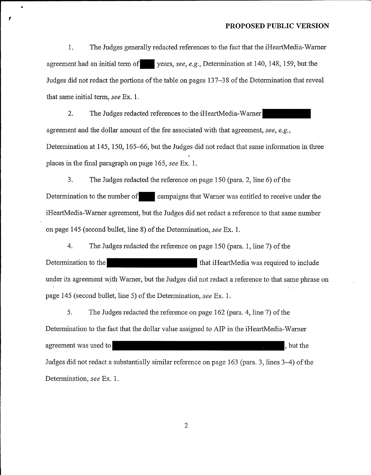1. The Judges generally redacted references to the fact that the iHeartMedia-Warner agreement had an initial term of years, see, e.g., Determination at 140, 148, 159, but the Judges did not redact the portions of the table on pages 137–38 of the Determination that reveal that same initial term, see Ex. 1.

 $\bullet$ 

×

2. The Judges redacted references to the iHeartMedia-Warner agreement and the dollar amount of the fee associated with that agreement, see, e.g., Determination at 145, 150, 165—66, but the Judges did not redact that same information in three places in the final paragraph on page 165, see Ex. 1.

3. The Judges redacted the reference on page 150 (para. 2, line 6) of the Determination to the number of campaigns that Warner was entitled to receive under the iHeartMedia-Warner agreement, but the Judges did not redact a reference to that same number on page 145 (second bullet, line 8) of the Determination, see Ex. 1.

4. The Judges redacted the reference on page 150 (para. 1, line 7) of the Determination to the that iHeartMedia was required to include under its agreement with Warner, but the Judges did not redact a reference to that same phrase on page 145 (second bullet, line 5) of the Determination, see Ex. 1.

5. The Judges redacted the reference on page 162 (para. 4, line 7) of the Determination to the fact that the dollar value assigned to AIP in the iHeartMedia-Warner agreement was used to see the set of the set of the set of the set of the set of the set of the set of the set of the set of the set of the set of the set of the set of the set of the set of the set of the set of the set o Judges did not redact a substantially similar reference on page 163 (para. 3, lines 3–4) of the Determination, see Ex. 1.

 $\mathbf{2}$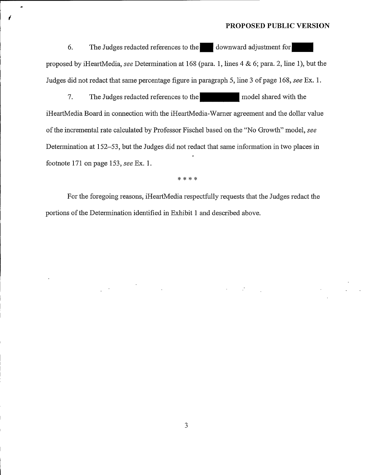$\label{eq:2.1} \mathcal{L}(\mathcal{L}^{\mathcal{L}}_{\mathcal{L}}(\mathcal{L}^{\mathcal{L}}_{\mathcal{L}})) \leq \mathcal{L}(\mathcal{L}^{\mathcal{L}}_{\mathcal{L}}(\mathcal{L}^{\mathcal{L}}_{\mathcal{L}})) \leq \mathcal{L}(\mathcal{L}^{\mathcal{L}}_{\mathcal{L}}(\mathcal{L}^{\mathcal{L}}_{\mathcal{L}}))$ 

6. The Judges redacted references to the downward adjustment for proposed by iHeartMedia, see Determination at 168 (para. 1, lines  $4 \& 6$ ; para. 2, line 1), but the Judges did not redact that same percentage figure in paragraph 5, line 3 of page 168, see Ex. 1.

7. The Judges redacted references to the model shared with the iHeartMedia Board in connection with the iHeartMedia-Warner agreement and the dollar value of the incremental rate calculated by Professor Fischel based on the "No Growth" model, see Determination at 152—53, but the Judges did not redact that same information in two places in footnote 171 on page 153, see Ex. 1.

\* \* \* \*

For the foregoing reasons, iHeartMedia respectfully requests that the Judges redact the portions of the Determination identified in Exhibit 1 and described above.

 $\label{eq:2.1} \frac{d\mathbf{r}}{d\mathbf{r}} = \frac{1}{2} \left( \frac{\partial \mathbf{r}}{d\mathbf{r}} + \frac{\partial \mathbf{r}}{d\mathbf{r}} \right) \mathbf{r} \quad \text{and} \quad \mathbf{r} = \frac{1}{2} \left( \frac{\partial \mathbf{r}}{d\mathbf{r}} + \frac{\partial \mathbf{r}}{d\mathbf{r}} \right) \mathbf{r} \quad \text{and} \quad \mathbf{r} = \frac{1}{2} \left( \frac{\partial \mathbf{r}}{d\mathbf{r}} + \frac{\partial \mathbf{r}}{d\mathbf{r}} \$